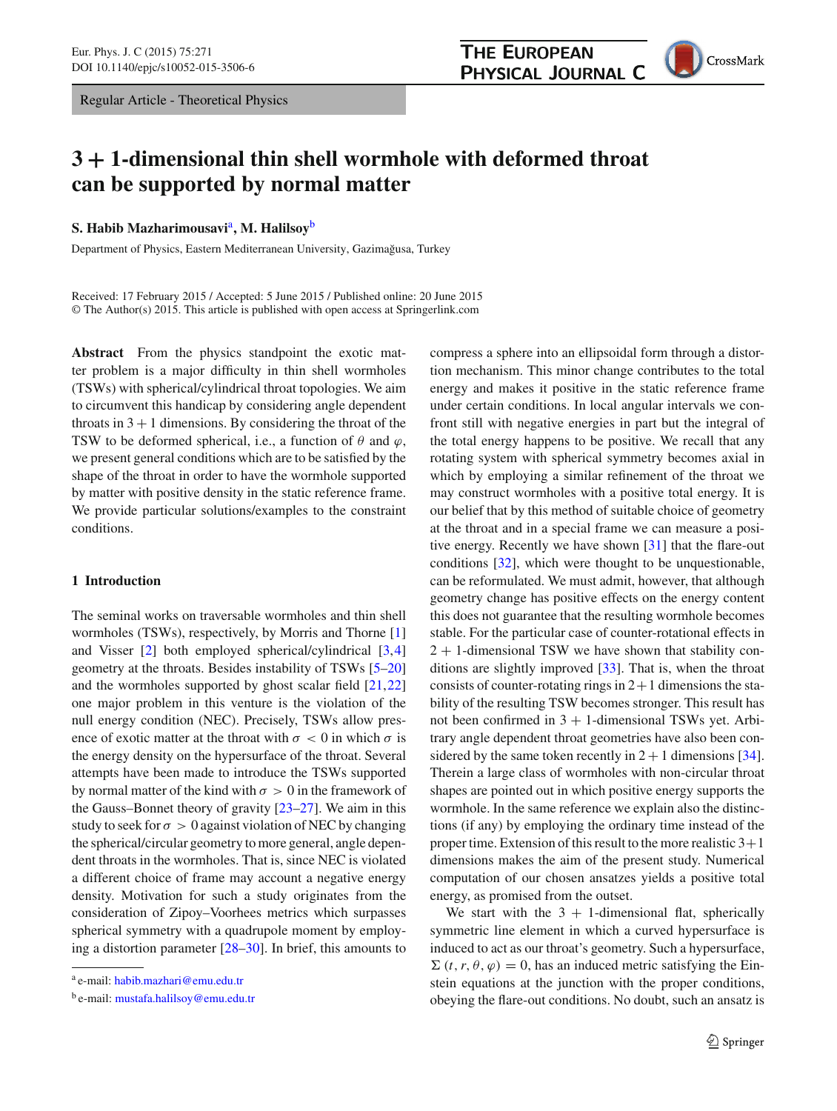Regular Article - Theoretical Physics



# **3 + 1-dimensional thin shell wormhole with deformed throat can be supported by normal matter**

**S. Habib Mazharimousavi**a**, M. Halilsoy**<sup>b</sup>

Department of Physics, Eastern Mediterranean University, Gazimağusa, Turkey

Received: 17 February 2015 / Accepted: 5 June 2015 / Published online: 20 June 2015 © The Author(s) 2015. This article is published with open access at Springerlink.com

**Abstract** From the physics standpoint the exotic matter problem is a major difficulty in thin shell wormholes (TSWs) with spherical/cylindrical throat topologies. We aim to circumvent this handicap by considering angle dependent throats in  $3 + 1$  dimensions. By considering the throat of the TSW to be deformed spherical, i.e., a function of  $\theta$  and  $\varphi$ , we present general conditions which are to be satisfied by the shape of the throat in order to have the wormhole supported by matter with positive density in the static reference frame. We provide particular solutions/examples to the constraint conditions.

# <span id="page-0-0"></span>**1 Introduction**

The seminal works on traversable wormholes and thin shell wormholes (TSWs), respectively, by Morris and Thorne [\[1\]](#page-5-0) and Visser [\[2](#page-5-1)] both employed spherical/cylindrical [\[3,](#page-5-2)[4\]](#page-5-3) geometry at the throats. Besides instability of TSWs [\[5](#page-5-4)[–20\]](#page-5-5) and the wormholes supported by ghost scalar field [\[21,](#page-5-6)[22\]](#page-5-7) one major problem in this venture is the violation of the null energy condition (NEC). Precisely, TSWs allow presence of exotic matter at the throat with  $\sigma < 0$  in which  $\sigma$  is the energy density on the hypersurface of the throat. Several attempts have been made to introduce the TSWs supported by normal matter of the kind with  $\sigma > 0$  in the framework of the Gauss–Bonnet theory of gravity [\[23](#page-5-8)[–27](#page-5-9)]. We aim in this study to seek for  $\sigma > 0$  against violation of NEC by changing the spherical/circular geometry to more general, angle dependent throats in the wormholes. That is, since NEC is violated a different choice of frame may account a negative energy density. Motivation for such a study originates from the consideration of Zipoy–Voorhees metrics which surpasses spherical symmetry with a quadrupole moment by employing a distortion parameter [\[28](#page-5-10)[–30\]](#page-5-11). In brief, this amounts to compress a sphere into an ellipsoidal form through a distortion mechanism. This minor change contributes to the total energy and makes it positive in the static reference frame under certain conditions. In local angular intervals we confront still with negative energies in part but the integral of the total energy happens to be positive. We recall that any rotating system with spherical symmetry becomes axial in which by employing a similar refinement of the throat we may construct wormholes with a positive total energy. It is our belief that by this method of suitable choice of geometry at the throat and in a special frame we can measure a positive energy. Recently we have shown [\[31](#page-5-12)] that the flare-out conditions [\[32](#page-5-13)], which were thought to be unquestionable, can be reformulated. We must admit, however, that although geometry change has positive effects on the energy content this does not guarantee that the resulting wormhole becomes stable. For the particular case of counter-rotational effects in  $2 + 1$ -dimensional TSW we have shown that stability conditions are slightly improved [\[33\]](#page-5-14). That is, when the throat consists of counter-rotating rings in  $2+1$  dimensions the stability of the resulting TSW becomes stronger. This result has not been confirmed in  $3 + 1$ -dimensional TSWs yet. Arbitrary angle dependent throat geometries have also been considered by the same token recently in  $2 + 1$  dimensions [\[34](#page-5-15)]. Therein a large class of wormholes with non-circular throat shapes are pointed out in which positive energy supports the wormhole. In the same reference we explain also the distinctions (if any) by employing the ordinary time instead of the proper time. Extension of this result to the more realistic  $3+1$ dimensions makes the aim of the present study. Numerical computation of our chosen ansatzes yields a positive total energy, as promised from the outset.

We start with the  $3 + 1$ -dimensional flat, spherically symmetric line element in which a curved hypersurface is induced to act as our throat's geometry. Such a hypersurface,  $\Sigma(t, r, \theta, \varphi) = 0$ , has an induced metric satisfying the Einstein equations at the junction with the proper conditions, obeying the flare-out conditions. No doubt, such an ansatz is

<sup>a</sup> e-mail: [habib.mazhari@emu.edu.tr](mailto:habib.mazhari@emu.edu.tr)

<sup>b</sup> e-mail: [mustafa.halilsoy@emu.edu.tr](mailto:mustafa.halilsoy@emu.edu.tr)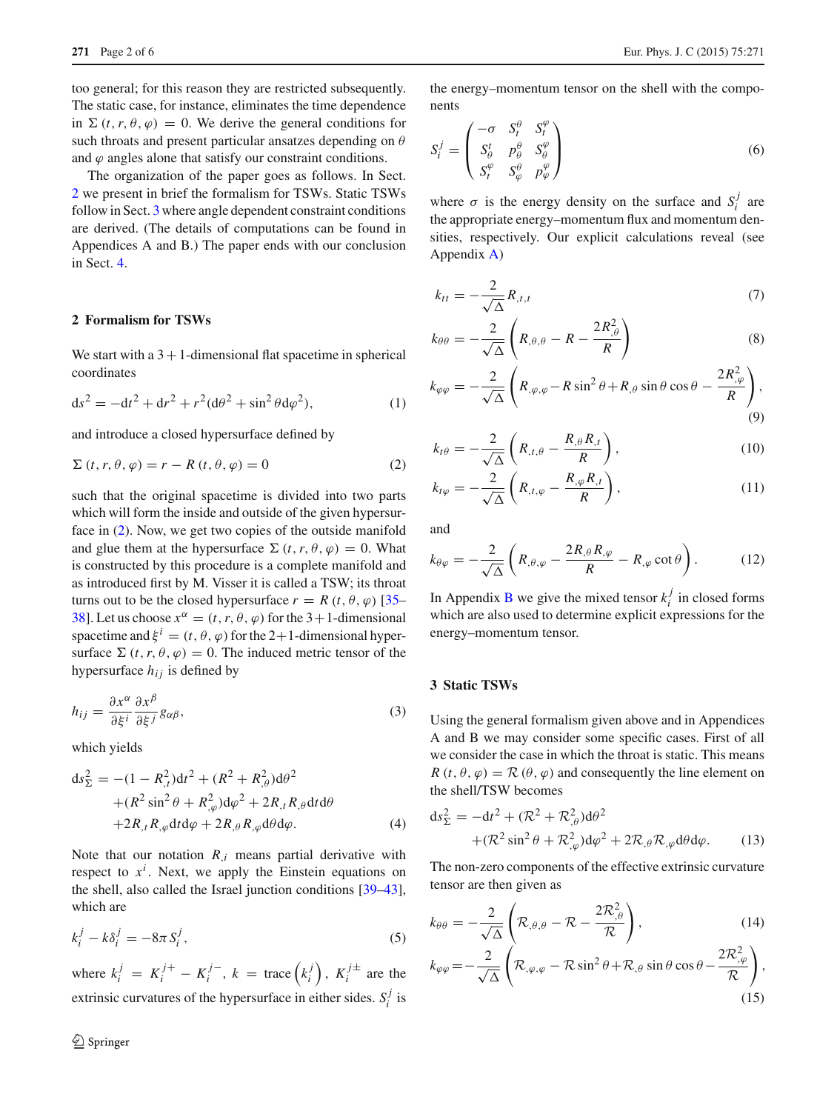too general; for this reason they are restricted subsequently. The static case, for instance, eliminates the time dependence in  $\Sigma(t, r, \theta, \varphi) = 0$ . We derive the general conditions for such throats and present particular ansatzes depending on  $\theta$ and  $\varphi$  angles alone that satisfy our constraint conditions.

The organization of the paper goes as follows. In Sect. [2](#page-1-0) we present in brief the formalism for TSWs. Static TSWs follow in Sect. [3](#page-1-1) where angle dependent constraint conditions are derived. (The details of computations can be found in Appendices A and B.) The paper ends with our conclusion in Sect. [4.](#page-3-0)

## <span id="page-1-0"></span>**2 Formalism for TSWs**

We start with a  $3+1$ -dimensional flat spacetime in spherical coordinates

$$
ds^{2} = -dt^{2} + dr^{2} + r^{2}(d\theta^{2} + \sin^{2}\theta d\varphi^{2}),
$$
 (1)

and introduce a closed hypersurface defined by

<span id="page-1-2"></span>
$$
\Sigma(t, r, \theta, \varphi) = r - R(t, \theta, \varphi) = 0
$$
\n(2)

such that the original spacetime is divided into two parts which will form the inside and outside of the given hypersurface in [\(2\)](#page-1-2). Now, we get two copies of the outside manifold and glue them at the hypersurface  $\Sigma(t, r, \theta, \varphi) = 0$ . What is constructed by this procedure is a complete manifold and as introduced first by M. Visser it is called a TSW; its throat turns out to be the closed hypersurface  $r = R(t, \theta, \varphi)$  [\[35](#page-5-16)– [38](#page-5-17)]. Let us choose  $x^{\alpha} = (t, r, \theta, \varphi)$  for the 3+1-dimensional spacetime and  $\xi^{i} = (t, \theta, \varphi)$  for the 2+1-dimensional hypersurface  $\Sigma(t, r, \theta, \varphi) = 0$ . The induced metric tensor of the hypersurface  $h_{ij}$  is defined by

$$
h_{ij} = \frac{\partial x^{\alpha}}{\partial \xi^{i}} \frac{\partial x^{\beta}}{\partial \xi^{j}} g_{\alpha\beta},
$$
\n(3)

which yields

$$
ds_{\Sigma}^{2} = -(1 - R_{,t}^{2})dt^{2} + (R^{2} + R_{,\theta}^{2})d\theta^{2}
$$
  
+ 
$$
(R^{2} \sin^{2} \theta + R_{,\varphi}^{2})d\varphi^{2} + 2R_{,t}R_{,\theta}dt d\theta
$$
  
+ 
$$
2R_{,t}R_{,\varphi}dt d\varphi + 2R_{,\theta}R_{,\varphi}d\theta d\varphi.
$$
 (4)

Note that our notation  $R_i$  means partial derivative with respect to  $x^i$ . Next, we apply the Einstein equations on the shell, also called the Israel junction conditions [\[39](#page-5-18)[–43](#page-5-19)], which are

$$
k_i^j - k\delta_i^j = -8\pi S_i^j,\tag{5}
$$

where  $k_i^j = K_i^{j+1} - K_i^{j-1}$ ,  $k = \text{trace}(k_i^j)$ ,  $K_i^{j\pm}$  are the extrinsic curvatures of the hypersurface in either sides.  $S_i^j$  is

the energy–momentum tensor on the shell with the components

$$
S_i^j = \begin{pmatrix} -\sigma & S_t^{\theta} & S_t^{\varphi} \\ S_{\theta}^t & p_{\theta}^{\theta} & S_{\theta}^{\varphi} \\ S_t^{\varphi} & S_{\varphi}^{\theta} & p_{\varphi}^{\varphi} \end{pmatrix}
$$
(6)

where  $\sigma$  is the energy density on the surface and  $S_i^j$  are the appropriate energy–momentum flux and momentum densities, respectively. Our explicit calculations reveal (see Appendix [A\)](#page-4-0)

$$
k_{tt} = -\frac{2}{\sqrt{\Delta}} R_{,t,t} \tag{7}
$$

$$
k_{\theta\theta} = -\frac{2}{\sqrt{\Delta}} \left( R_{,\theta,\theta} - R - \frac{2R_{,\theta}^2}{R} \right) \tag{8}
$$

$$
k_{\varphi\varphi} = -\frac{2}{\sqrt{\Delta}} \left( R_{,\varphi,\varphi} - R \sin^2 \theta + R_{,\theta} \sin \theta \cos \theta - \frac{2R_{,\varphi}^2}{R} \right),\tag{9}
$$

$$
k_{t\theta} = -\frac{2}{\sqrt{\Delta}} \left( R_{,t,\theta} - \frac{R_{,\theta} R_{,t}}{R} \right),\tag{10}
$$

$$
k_{t\varphi} = -\frac{2}{\sqrt{\Delta}} \left( R_{,t,\varphi} - \frac{R_{,\varphi} R_{,t}}{R} \right),\tag{11}
$$

and

$$
k_{\theta\varphi} = -\frac{2}{\sqrt{\Delta}} \left( R_{,\theta,\varphi} - \frac{2R_{,\theta}R_{,\varphi}}{R} - R_{,\varphi} \cot \theta \right). \tag{12}
$$

In Appendix [B](#page-4-1) we give the mixed tensor  $k_i^j$  in closed forms which are also used to determine explicit expressions for the energy–momentum tensor.

## <span id="page-1-1"></span>**3 Static TSWs**

Using the general formalism given above and in Appendices A and B we may consider some specific cases. First of all we consider the case in which the throat is static. This means *R* (*t*,  $\theta$ ,  $\varphi$ ) =  $\mathcal{R}(\theta, \varphi)$  and consequently the line element on the shell/TSW becomes

$$
ds_{\Sigma}^{2} = -dt^{2} + (\mathcal{R}^{2} + \mathcal{R}^{2}_{,\theta})d\theta^{2}
$$

$$
+ (\mathcal{R}^{2} \sin^{2} \theta + \mathcal{R}^{2}_{,\varphi})d\varphi^{2} + 2\mathcal{R}_{,\theta}\mathcal{R}_{,\varphi}d\theta d\varphi.
$$
 (13)

The non-zero components of the effective extrinsic curvature tensor are then given as

$$
k_{\theta\theta} = -\frac{2}{\sqrt{\Delta}} \left( \mathcal{R}_{,\theta,\theta} - \mathcal{R} - \frac{2\mathcal{R}_{,\theta}^2}{\mathcal{R}} \right),\tag{14}
$$

$$
k_{\varphi\varphi} = -\frac{2}{\sqrt{\Delta}} \left( \mathcal{R}_{,\varphi,\varphi} - \mathcal{R}\sin^2\theta + \mathcal{R}_{,\theta}\sin\theta\cos\theta - \frac{2\mathcal{R}_{,\varphi}^2}{\mathcal{R}} \right),\tag{15}
$$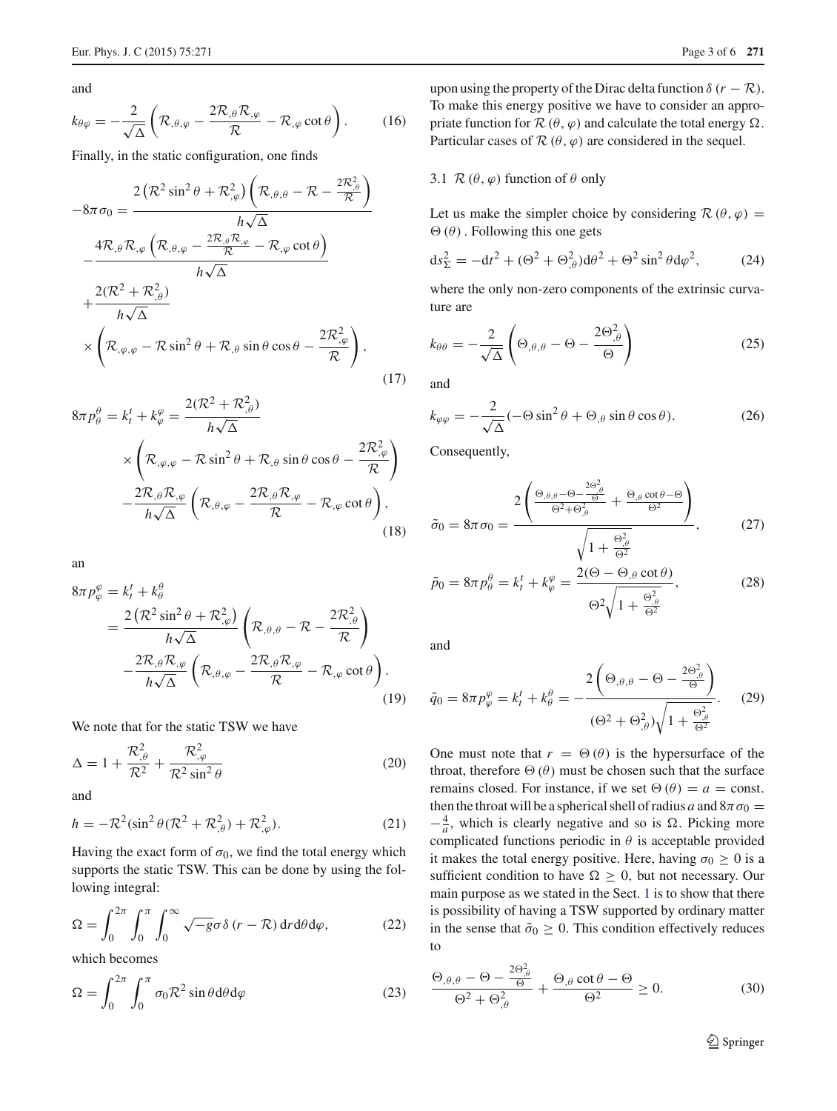and

$$
k_{\theta\varphi} = -\frac{2}{\sqrt{\Delta}} \left( \mathcal{R}_{,\theta,\varphi} - \frac{2\mathcal{R}_{,\theta}\mathcal{R}_{,\varphi}}{\mathcal{R}} - \mathcal{R}_{,\varphi}\cot\theta \right). \tag{16}
$$

Finally, in the static configuration, one finds

<span id="page-2-1"></span>
$$
-8\pi\sigma_{0} = \frac{2\left(\mathcal{R}^{2}\sin^{2}\theta + \mathcal{R}^{2}_{,\varphi}\right)\left(\mathcal{R}_{,\theta,\theta} - \mathcal{R} - \frac{2\mathcal{R}^{2}_{,\theta}}{\mathcal{R}}\right)}{h\sqrt{\Delta}} - \frac{4\mathcal{R}_{,\theta}\mathcal{R}_{,\varphi}\left(\mathcal{R}_{,\theta,\varphi} - \frac{2\mathcal{R}_{,\theta}\mathcal{R}_{,\varphi}}{\mathcal{R}} - \mathcal{R}_{,\varphi}\cot\theta\right)}{h\sqrt{\Delta}} + \frac{2(\mathcal{R}^{2} + \mathcal{R}^{2}_{,\theta})}{h\sqrt{\Delta}} \times \left(\mathcal{R}_{,\varphi,\varphi} - \mathcal{R}\sin^{2}\theta + \mathcal{R}_{,\theta}\sin\theta\cos\theta - \frac{2\mathcal{R}^{2}_{,\varphi}}{\mathcal{R}}\right),
$$
\n(17)

$$
8\pi p_{\theta}^{\theta} = k_t^t + k_{\varphi}^{\varphi} = \frac{2(\mathcal{R}^2 + \mathcal{R}_{,\theta}^2)}{h\sqrt{\Delta}}
$$
  
 
$$
\times \left(\mathcal{R}_{,\varphi,\varphi} - \mathcal{R}\sin^2\theta + \mathcal{R}_{,\theta}\sin\theta\cos\theta - \frac{2\mathcal{R}_{,\varphi}^2}{\mathcal{R}}\right)
$$
  
 
$$
-\frac{2\mathcal{R}_{,\theta}\mathcal{R}_{,\varphi}}{h\sqrt{\Delta}}\left(\mathcal{R}_{,\theta,\varphi} - \frac{2\mathcal{R}_{,\theta}\mathcal{R}_{,\varphi}}{\mathcal{R}} - \mathcal{R}_{,\varphi}\cot\theta\right),
$$
(18)

an

$$
8\pi p_{\varphi}^{\varphi} = k_t^t + k_{\theta}^{\theta}
$$
  
= 
$$
\frac{2\left(\mathcal{R}^2 \sin^2 \theta + \mathcal{R}_{,\varphi}^2\right)}{h\sqrt{\Delta}} \left(\mathcal{R}_{,\theta,\theta} - \mathcal{R} - \frac{2\mathcal{R}_{,\theta}^2}{\mathcal{R}}\right)
$$
  

$$
-\frac{2\mathcal{R}_{,\theta}\mathcal{R}_{,\varphi}}{h\sqrt{\Delta}} \left(\mathcal{R}_{,\theta,\varphi} - \frac{2\mathcal{R}_{,\theta}\mathcal{R}_{,\varphi}}{\mathcal{R}} - \mathcal{R}_{,\varphi} \cot \theta\right).
$$
(19)

We note that for the static TSW we have

$$
\Delta = 1 + \frac{\mathcal{R}_{,\theta}^2}{\mathcal{R}^2} + \frac{\mathcal{R}_{,\varphi}^2}{\mathcal{R}^2 \sin^2 \theta} \tag{20}
$$

and

$$
h = -\mathcal{R}^2(\sin^2\theta(\mathcal{R}^2 + \mathcal{R}_{,\theta}^2) + \mathcal{R}_{,\varphi}^2). \tag{21}
$$

Having the exact form of  $\sigma_0$ , we find the total energy which supports the static TSW. This can be done by using the following integral:

$$
\Omega = \int_0^{2\pi} \int_0^{\pi} \int_0^{\infty} \sqrt{-g} \sigma \delta (r - \mathcal{R}) dr d\theta d\varphi, \qquad (22)
$$

which becomes

<span id="page-2-0"></span>
$$
\Omega = \int_0^{2\pi} \int_0^{\pi} \sigma_0 \mathcal{R}^2 \sin \theta \, d\theta \, d\varphi \tag{23}
$$

upon using the property of the Dirac delta function  $\delta (r - \mathcal{R})$ . To make this energy positive we have to consider an appropriate function for  $\mathcal{R}(\theta, \varphi)$  and calculate the total energy  $\Omega$ . Particular cases of  $\mathcal{R}(\theta, \varphi)$  are considered in the sequel.

#### 3.1  $\mathcal{R}(\theta,\varphi)$  function of  $\theta$  only

Let us make the simpler choice by considering  $\mathcal{R}(\theta,\varphi)$  =  $\Theta(\theta)$ . Following this one gets

$$
ds_{\Sigma}^2 = -dt^2 + (\Theta^2 + \Theta_{,\theta}^2)d\theta^2 + \Theta^2\sin^2\theta d\varphi^2, \qquad (24)
$$

where the only non-zero components of the extrinsic curvature are

$$
k_{\theta\theta} = -\frac{2}{\sqrt{\Delta}} \left( \Theta_{,\theta,\theta} - \Theta - \frac{2\Theta_{,\theta}^2}{\Theta} \right)
$$
 (25)

and

$$
k_{\varphi\varphi} = -\frac{2}{\sqrt{\Delta}}(-\Theta\sin^2\theta + \Theta_{,\theta}\sin\theta\cos\theta). \tag{26}
$$

Consequently,

$$
\tilde{\sigma}_0 = 8\pi \sigma_0 = \frac{2\left(\frac{\Theta_{,\theta,\theta} - \Theta - \frac{2\Theta_{,\theta}^2}{\Theta}}{\Theta^2 + \Theta_{,\theta}^2} + \frac{\Theta_{,\theta}\cot\theta - \Theta}{\Theta^2}\right)}{\sqrt{1 + \frac{\Theta_{,\theta}^2}{\Theta^2}}},\qquad(27)
$$

$$
\tilde{p}_0 = 8\pi p_\theta^\theta = k_t^t + k_\varphi^\varphi = \frac{2(\Theta - \Theta_{,\theta} \cot \theta)}{\Theta^2 \sqrt{1 + \frac{\Theta_{,\theta}^2}{\Theta^2}}},\tag{28}
$$

and

$$
\tilde{q}_0 = 8\pi p_{\varphi}^{\varphi} = k_t^t + k_{\theta}^{\theta} = -\frac{2\left(\Theta_{,\theta,\theta} - \Theta - \frac{2\Theta_{,\theta}^2}{\Theta}\right)}{(\Theta^2 + \Theta_{,\theta}^2)\sqrt{1 + \frac{\Theta_{,\theta}^2}{\Theta^2}}}.
$$
 (29)

One must note that  $r = \Theta(\theta)$  is the hypersurface of the throat, therefore  $\Theta(\theta)$  must be chosen such that the surface remains closed. For instance, if we set  $\Theta(\theta) = a = \text{const.}$ then the throat will be a spherical shell of radius *a* and  $8\pi\sigma_0 =$  $-\frac{4}{a}$ , which is clearly negative and so is  $\Omega$ . Picking more complicated functions periodic in  $\theta$  is acceptable provided it makes the total energy positive. Here, having  $\sigma_0 \geq 0$  is a sufficient condition to have  $\Omega \geq 0$ , but not necessary. Our main purpose as we stated in the Sect. [1](#page-0-0) is to show that there is possibility of having a TSW supported by ordinary matter in the sense that  $\tilde{\sigma}_0 \geq 0$ . This condition effectively reduces to

$$
\frac{\Theta_{,\theta,\theta} - \Theta - \frac{2\Theta_{,\theta}^2}{\Theta}}{\Theta^2 + \Theta_{,\theta}^2} + \frac{\Theta_{,\theta} \cot \theta - \Theta}{\Theta^2} \ge 0.
$$
 (30)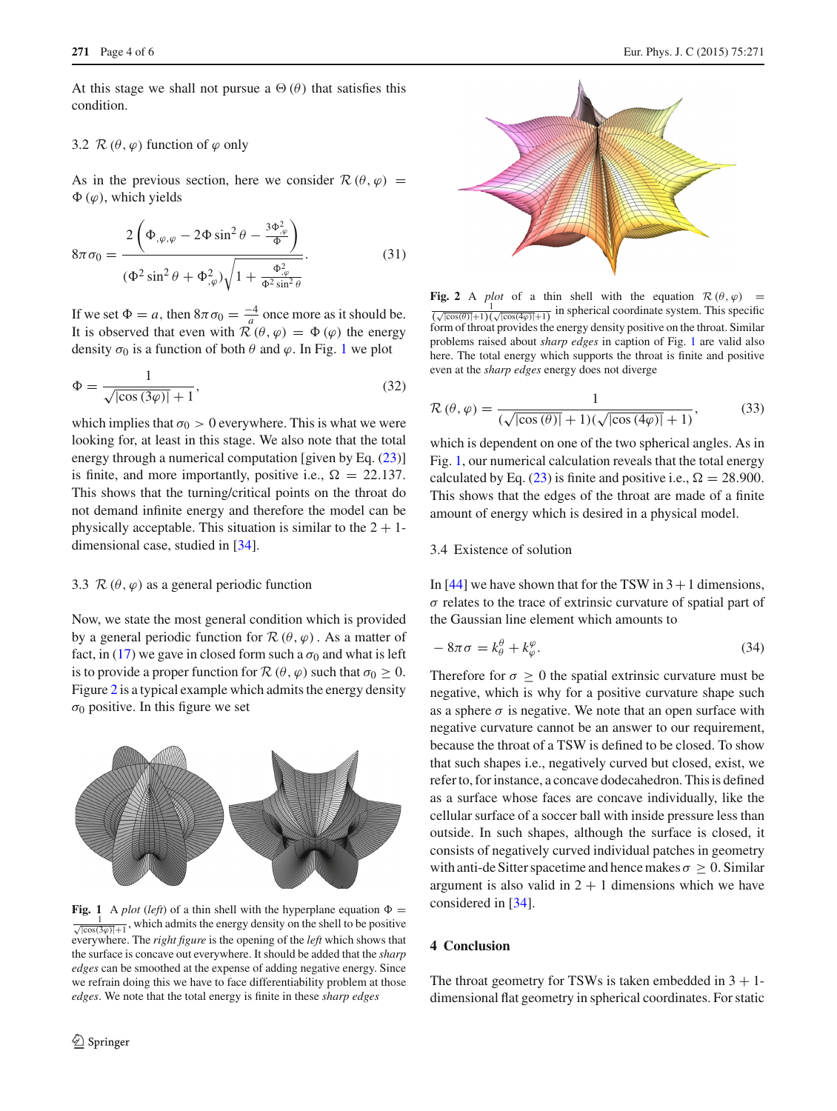At this stage we shall not pursue a  $\Theta(\theta)$  that satisfies this condition.

# 3.2  $\mathcal{R}(\theta,\varphi)$  function of  $\varphi$  only

As in the previous section, here we consider  $\mathcal{R}(\theta,\varphi)$  =  $\Phi(\varphi)$ , which yields

$$
8\pi\sigma_0 = \frac{2\left(\Phi_{,\varphi,\varphi} - 2\Phi\sin^2\theta - \frac{3\Phi_{,\varphi}^2}{\Phi}\right)}{(\Phi^2\sin^2\theta + \Phi_{,\varphi}^2)\sqrt{1 + \frac{\Phi_{,\varphi}^2}{\Phi^2\sin^2\theta}}}.
$$
(31)

If we set  $\Phi = a$ , then  $8\pi\sigma_0 = \frac{-4}{a}$  once more as it should be. It is observed that even with  $\mathcal{R}(\theta, \varphi) = \Phi(\varphi)$  the energy density  $\sigma_0$  is a function of both  $\theta$  and  $\varphi$ . In Fig. [1](#page-3-1) we plot

$$
\Phi = \frac{1}{\sqrt{|\cos(3\varphi)|} + 1},\tag{32}
$$

which implies that  $\sigma_0 > 0$  everywhere. This is what we were looking for, at least in this stage. We also note that the total energy through a numerical computation [given by Eq.  $(23)$ ] is finite, and more importantly, positive i.e.,  $\Omega = 22.137$ . This shows that the turning/critical points on the throat do not demand infinite energy and therefore the model can be physically acceptable. This situation is similar to the  $2 + 1$ dimensional case, studied in [\[34](#page-5-15)].

#### 3.3  $\mathcal{R}(\theta,\varphi)$  as a general periodic function

Now, we state the most general condition which is provided by a general periodic function for  $\mathcal{R}(\theta,\varphi)$ . As a matter of fact, in [\(17\)](#page-2-1) we gave in closed form such a  $\sigma_0$  and what is left is to provide a proper function for  $\mathcal{R}(\theta, \varphi)$  such that  $\sigma_0 \geq 0$ . Figure [2](#page-3-2) is a typical example which admits the energy density  $\sigma_0$  positive. In this figure we set



<span id="page-3-1"></span>**Fig. 1** A *plot* (*left*) of a thin shell with the hyperplane equation  $\Phi =$  $\frac{1}{\sqrt{|\cos(3\varphi)|}+1}$ , which admits the energy density on the shell to be positive everywhere. The *right figure* is the opening of the *left* which shows that the surface is concave out everywhere. It should be added that the *sharp edges* can be smoothed at the expense of adding negative energy. Since we refrain doing this we have to face differentiability problem at those *edges*. We note that the total energy is finite in these *sharp edges*



<span id="page-3-2"></span>**Fig. 2** A *plot* of a thin shell with the equation  $\mathcal{R}(\theta, \varphi) =$  $\frac{1}{(\sqrt{|\cos(\theta)|}+1)(\sqrt{|\cos(4\varphi)|}+1)}$  in spherical coordinate system. This specific form of throat provides the energy density positive on the throat. Similar problems raised about *sharp edges* in caption of Fig. [1](#page-3-1) are valid also here. The total energy which supports the throat is finite and positive even at the *sharp edges* energy does not diverge

$$
\mathcal{R}\left(\theta,\varphi\right) = \frac{1}{\left(\sqrt{\left|\cos\left(\theta\right)\right|} + 1\right)\left(\sqrt{\left|\cos\left(\frac{4\varphi}{\right)\right|} + 1\right)}},\tag{33}
$$

which is dependent on one of the two spherical angles. As in Fig. [1,](#page-3-1) our numerical calculation reveals that the total energy calculated by Eq. [\(23\)](#page-2-0) is finite and positive i.e.,  $\Omega = 28.900$ . This shows that the edges of the throat are made of a finite amount of energy which is desired in a physical model.

# 3.4 Existence of solution

In [\[44\]](#page-5-20) we have shown that for the TSW in  $3+1$  dimensions,  $\sigma$  relates to the trace of extrinsic curvature of spatial part of the Gaussian line element which amounts to

$$
-8\pi\sigma = k^{\theta}_{\theta} + k^{\varphi}_{\varphi}.
$$
\n(34)

Therefore for  $\sigma > 0$  the spatial extrinsic curvature must be negative, which is why for a positive curvature shape such as a sphere  $\sigma$  is negative. We note that an open surface with negative curvature cannot be an answer to our requirement, because the throat of a TSW is defined to be closed. To show that such shapes i.e., negatively curved but closed, exist, we refer to, for instance, a concave dodecahedron. This is defined as a surface whose faces are concave individually, like the cellular surface of a soccer ball with inside pressure less than outside. In such shapes, although the surface is closed, it consists of negatively curved individual patches in geometry with anti-de Sitter spacetime and hence makes  $\sigma \geq 0$ . Similar argument is also valid in  $2 + 1$  dimensions which we have considered in [\[34](#page-5-15)].

# <span id="page-3-0"></span>**4 Conclusion**

The throat geometry for TSWs is taken embedded in  $3 + 1$ dimensional flat geometry in spherical coordinates. For static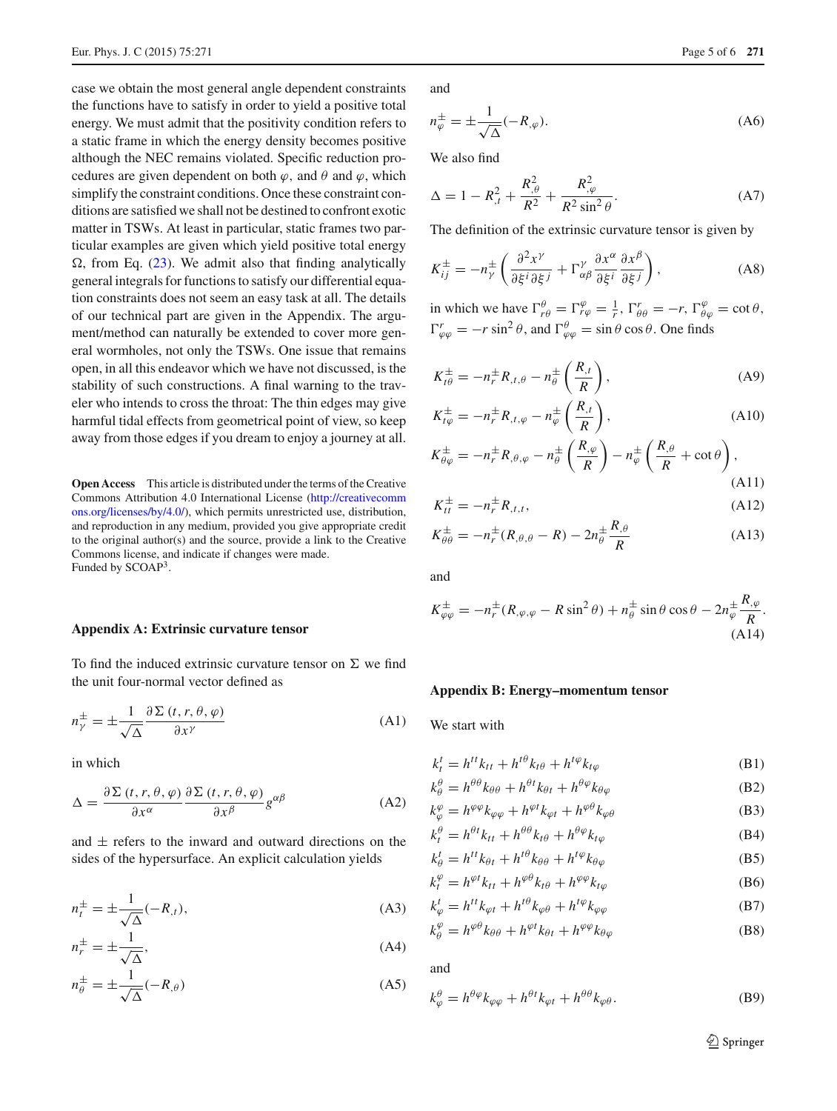case we obtain the most general angle dependent constraints the functions have to satisfy in order to yield a positive total energy. We must admit that the positivity condition refers to a static frame in which the energy density becomes positive although the NEC remains violated. Specific reduction procedures are given dependent on both  $\varphi$ , and  $\theta$  and  $\varphi$ , which simplify the constraint conditions. Once these constraint conditions are satisfied we shall not be destined to confront exotic matter in TSWs. At least in particular, static frames two particular examples are given which yield positive total energy  $\Omega$ , from Eq. [\(23\)](#page-2-0). We admit also that finding analytically general integrals for functions to satisfy our differential equation constraints does not seem an easy task at all. The details of our technical part are given in the Appendix. The argument/method can naturally be extended to cover more general wormholes, not only the TSWs. One issue that remains open, in all this endeavor which we have not discussed, is the stability of such constructions. A final warning to the traveler who intends to cross the throat: The thin edges may give harmful tidal effects from geometrical point of view, so keep away from those edges if you dream to enjoy a journey at all.

**Open Access** This article is distributed under the terms of the Creative Commons Attribution 4.0 International License [\(http://creativecomm](http://creativecommons.org/licenses/by/4.0/) [ons.org/licenses/by/4.0/\)](http://creativecommons.org/licenses/by/4.0/), which permits unrestricted use, distribution, and reproduction in any medium, provided you give appropriate credit to the original author(s) and the source, provide a link to the Creative Commons license, and indicate if changes were made. Funded by SCOAP3.

#### <span id="page-4-0"></span>**Appendix A: Extrinsic curvature tensor**

To find the induced extrinsic curvature tensor on  $\Sigma$  we find the unit four-normal vector defined as

$$
n_{\gamma}^{\pm} = \pm \frac{1}{\sqrt{\Delta}} \frac{\partial \Sigma (t, r, \theta, \varphi)}{\partial x^{\gamma}}
$$
 (A1)

in which

$$
\Delta = \frac{\partial \Sigma (t, r, \theta, \varphi)}{\partial x^{\alpha}} \frac{\partial \Sigma (t, r, \theta, \varphi)}{\partial x^{\beta}} g^{\alpha \beta}
$$
(A2)

and  $\pm$  refers to the inward and outward directions on the sides of the hypersurface. An explicit calculation yields

$$
n_t^{\pm} = \pm \frac{1}{\sqrt{\Delta}}(-R_{,t}),\tag{A3}
$$

$$
n_r^{\pm} = \pm \frac{1}{\sqrt{\Delta}},\tag{A4}
$$

$$
n_{\theta}^{\pm} = \pm \frac{1}{\sqrt{\Delta}} (-R_{,\theta})
$$
 (A5)

and

$$
n_{\varphi}^{\pm} = \pm \frac{1}{\sqrt{\Delta}} (-R_{,\varphi}). \tag{A6}
$$

We also find

$$
\Delta = 1 - R_{,t}^{2} + \frac{R_{,\theta}^{2}}{R^{2}} + \frac{R_{,\varphi}^{2}}{R^{2}\sin^{2}\theta}.
$$
 (A7)

The definition of the extrinsic curvature tensor is given by

$$
K_{ij}^{\pm} = -n_{\gamma}^{\pm} \left( \frac{\partial^2 x^{\gamma}}{\partial \xi^i \partial \xi^j} + \Gamma^{\gamma}_{\alpha\beta} \frac{\partial x^{\alpha}}{\partial \xi^i} \frac{\partial x^{\beta}}{\partial \xi^j} \right), \tag{A8}
$$

in which we have  $\Gamma^{\theta}_{r\theta} = \Gamma^{\varphi}_{r\varphi} = \frac{1}{r}$ ,  $\Gamma^r_{\theta\theta} = -r$ ,  $\Gamma^{\varphi}_{\theta\varphi} = \cot \theta$ ,  $\Gamma_{\varphi\varphi}^r = -r \sin^2 \theta$ , and  $\Gamma_{\varphi\varphi}^{\theta} = \sin \theta \cos \theta$ . One finds

$$
K_{t\theta}^{\pm} = -n_r^{\pm} R_{,t,\theta} - n_\theta^{\pm} \left( \frac{R_{,t}}{R} \right), \tag{A9}
$$

$$
K_{t\varphi}^{\pm} = -n_r^{\pm} R_{,t,\varphi} - n_{\varphi}^{\pm} \left( \frac{R_{,t}}{R} \right), \tag{A10}
$$

$$
K_{\theta\varphi}^{\pm} = -n_r^{\pm} R_{,\theta,\varphi} - n_{\theta}^{\pm} \left( \frac{R_{,\varphi}}{R} \right) - n_{\varphi}^{\pm} \left( \frac{R_{,\theta}}{R} + \cot \theta \right),\tag{A11}
$$

$$
K_{tt}^{\pm} = -n_r^{\pm} R_{,t,t},
$$
 (A12)

$$
K_{\theta\theta}^{\pm} = -n_r^{\pm}(R_{,\theta,\theta} - R) - 2n_{\theta}^{\pm} \frac{R_{,\theta}}{R}
$$
 (A13)

and

$$
K^{\pm}_{\varphi\varphi} = -n^{\pm}_{r}(R_{,\varphi,\varphi} - R\sin^{2}\theta) + n^{\pm}_{\theta}\sin\theta\cos\theta - 2n^{\pm}_{\varphi}\frac{R_{,\varphi}}{R}.
$$
\n(A14)

#### <span id="page-4-1"></span>**Appendix B: Energy–momentum tensor**

We start with

$$
k_t^t = h^{tt} k_{tt} + h^{t\theta} k_{t\theta} + h^{t\varphi} k_{t\varphi}
$$
 (B1)

$$
k^{\theta}_{\theta} = h^{\theta\theta}k_{\theta\theta} + h^{\theta t}k_{\theta t} + h^{\theta\varphi}k_{\theta\varphi}
$$
 (B2)

$$
k_{\varphi}^{\varphi} = h^{\varphi\varphi} k_{\varphi\varphi} + h^{\varphi t} k_{\varphi t} + h^{\varphi\theta} k_{\varphi\theta}
$$
 (B3)

$$
k_t^{\theta} = h^{\theta t} k_{tt} + h^{\theta \theta} k_{t\theta} + h^{\theta \varphi} k_{t\varphi}
$$
 (B4)

$$
k_{\theta}^{t} = h^{tt} k_{\theta t} + h^{t\theta} k_{\theta \theta} + h^{t\varphi} k_{\theta \varphi}
$$
 (B5)

$$
k_t^{\varphi} = h^{\varphi t} k_{tt} + h^{\varphi \theta} k_{t\theta} + h^{\varphi \varphi} k_{t\varphi}
$$
 (B6)

$$
k_{\varphi}^{t} = h^{tt} k_{\varphi t} + h^{t\theta} k_{\varphi \theta} + h^{t\varphi} k_{\varphi \varphi}
$$
(B7)

$$
k^{\varphi}_{\theta} = h^{\varphi\theta} k_{\theta\theta} + h^{\varphi t} k_{\theta t} + h^{\varphi\varphi} k_{\theta\varphi}
$$
 (B8)

and

$$
k_{\varphi}^{\theta} = h^{\theta\varphi}k_{\varphi\varphi} + h^{\theta t}k_{\varphi t} + h^{\theta\theta}k_{\varphi\theta}.
$$
 (B9)